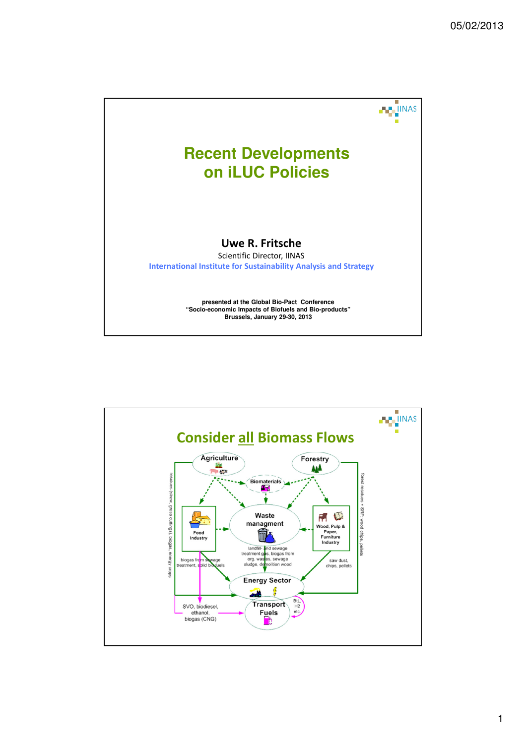

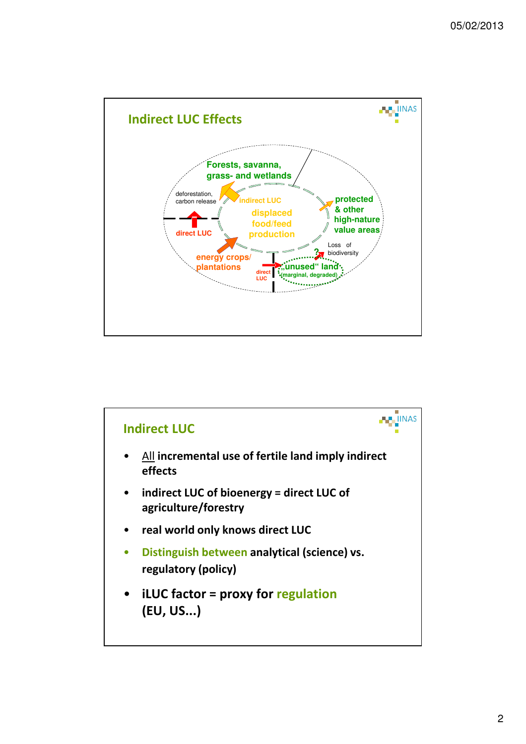

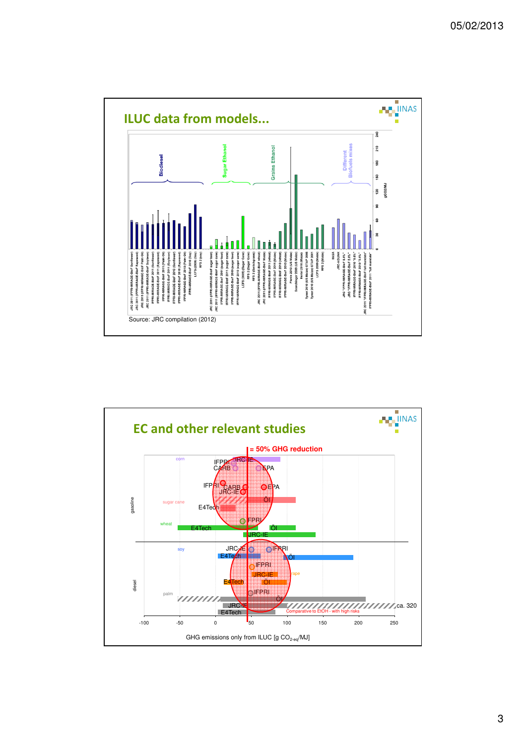

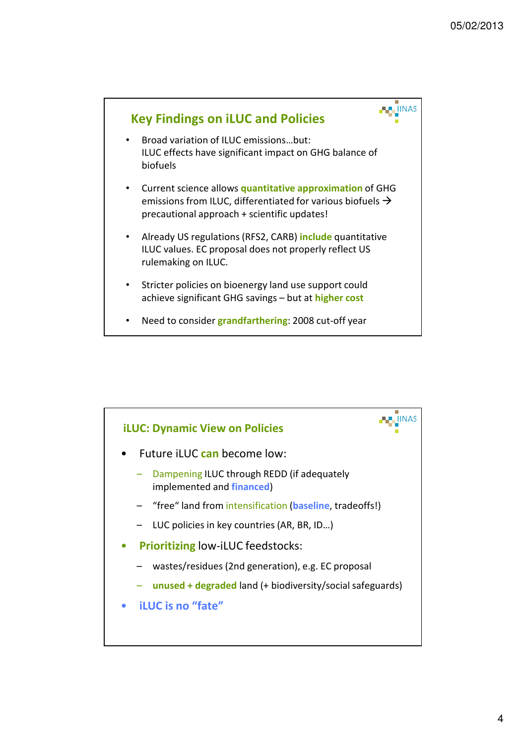

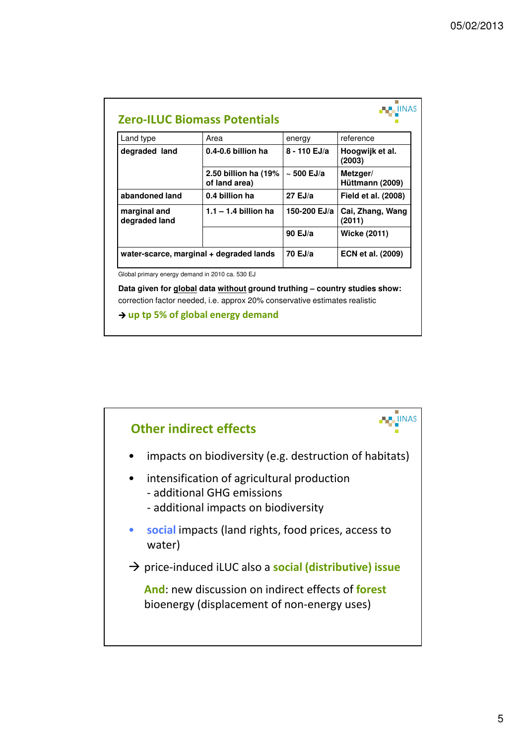| Land type                               | Area                                  | energy          | reference                   |
|-----------------------------------------|---------------------------------------|-----------------|-----------------------------|
| degraded land                           | 0.4-0.6 billion ha                    | 8 - 110 EJ/a    | Hoogwijk et al.<br>(2003)   |
|                                         | 2.50 billion ha (19%<br>of land area) | $\sim$ 500 EJ/a | Metzger/<br>Hüttmann (2009) |
| abandoned land                          | 0.4 billion ha                        | $27$ EJ/a       | Field et al. (2008)         |
| marginal and<br>degraded land           | $1.1 - 1.4$ billion ha                | 150-200 EJ/a    | Cai, Zhang, Wang<br>(2011)  |
|                                         |                                       | 90 $EJ/a$       | <b>Wicke (2011)</b>         |
| water-scarce, marginal + degraded lands |                                       | 70 EJ/a         | <b>ECN et al. (2009)</b>    |

**Data given for global data without ground truthing – country studies show:**  correction factor needed, i.e. approx 20% conservative estimates realistic

**up tp 5% of global energy demand**

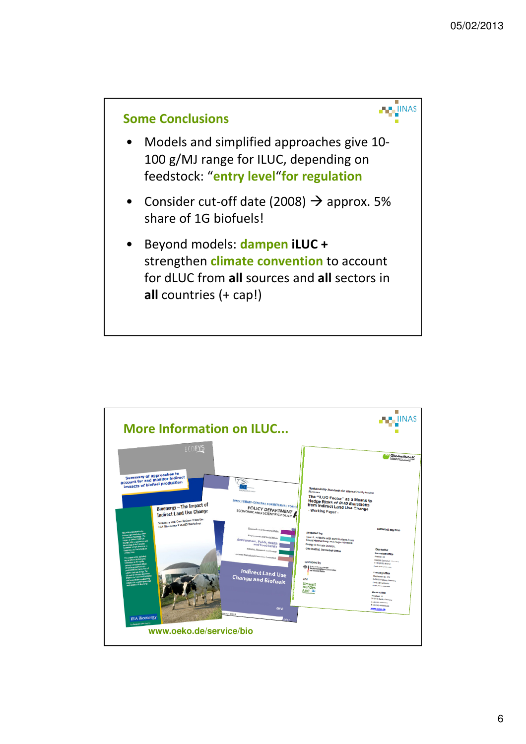